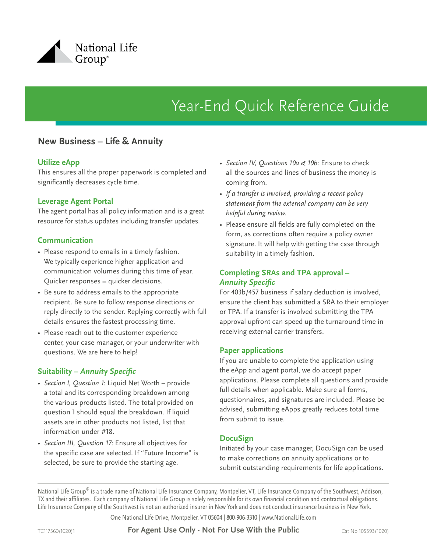

# Year-End Quick Reference Guide

## **New Business – Life & Annuity**

#### **Utilize eApp**

This ensures all the proper paperwork is completed and significantly decreases cycle time.

#### **Leverage Agent Portal**

The agent portal has all policy information and is a great resource for status updates including transfer updates.

#### **Communication**

- Please respond to emails in a timely fashion. We typically experience higher application and communication volumes during this time of year. Quicker responses = quicker decisions.
- Be sure to address emails to the appropriate recipient. Be sure to follow response directions or reply directly to the sender. Replying correctly with full details ensures the fastest processing time.
- Please reach out to the customer experience center, your case manager, or your underwriter with questions. We are here to help!

#### **Suitability –** *Annuity Specific*

- *• Section I, Question 1*: Liquid Net Worth provide a total and its corresponding breakdown among the various products listed. The total provided on question 1 should equal the breakdown. If liquid assets are in other products not listed, list that information under #18.
- *• Section III, Question 17*: Ensure all objectives for the specific case are selected. If "Future Income" is selected, be sure to provide the starting age.
- *• Section IV, Questions 19a & 19b*: Ensure to check all the sources and lines of business the money is coming from.
- *• If a transfer is involved, providing a recent policy statement from the external company can be very helpful during review.*
- Please ensure all fields are fully completed on the form, as corrections often require a policy owner signature. It will help with getting the case through suitability in a timely fashion.

#### **Completing SRAs and TPA approval –**  *Annuity Specific*

For 403b/457 business if salary deduction is involved, ensure the client has submitted a SRA to their employer or TPA. If a transfer is involved submitting the TPA approval upfront can speed up the turnaround time in receiving external carrier transfers.

#### **Paper applications**

If you are unable to complete the application using the eApp and agent portal, we do accept paper applications. Please complete all questions and provide full details when applicable. Make sure all forms, questionnaires, and signatures are included. Please be advised, submitting eApps greatly reduces total time from submit to issue.

#### **DocuSign**

Initiated by your case manager, DocuSign can be used to make corrections on annuity applications or to submit outstanding requirements for life applications.

National Life Group® is a trade name of National Life Insurance Company, Montpelier, VT, Life Insurance Company of the Southwest, Addison, TX and their affiliates. Each company of National Life Group is solely responsible for its own financial condition and contractual obligations. Life Insurance Company of the Southwest is not an authorized insurer in New York and does not conduct insurance business in New York.

One National Life Drive, Montpelier, VT 05604 | 800-906-3310 | www.NationalLife.com

TC117560(1020)1 **For Agent Use Only - Not For Use With the Public** Cat No 105593(1020)